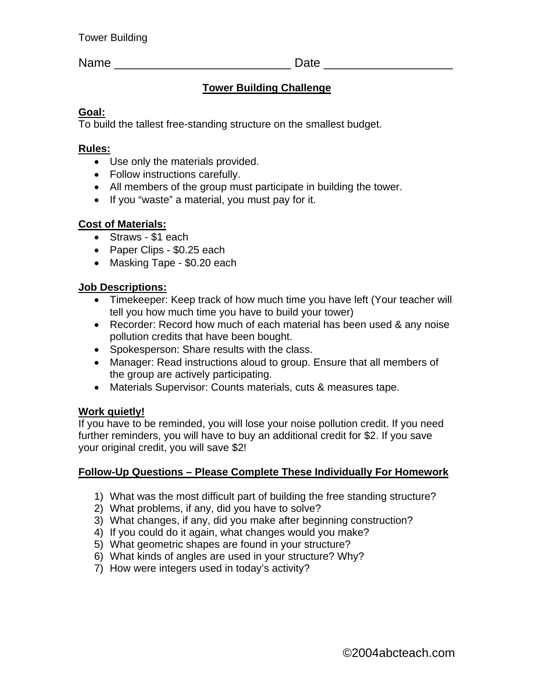Name \_\_\_\_\_\_\_\_\_\_\_\_\_\_\_\_\_\_\_\_\_\_\_\_\_\_ Date \_\_\_\_\_\_\_\_\_\_\_\_\_\_\_\_\_\_\_

# **Tower Building Challenge**

#### **Goal:**

To build the tallest free-standing structure on the smallest budget.

#### **Rules:**

- Use only the materials provided.
- Follow instructions carefully.
- All members of the group must participate in building the tower.
- If you "waste" a material, you must pay for it.

## **Cost of Materials:**

- Straws \$1 each
- Paper Clips \$0.25 each
- Masking Tape \$0.20 each

## **Job Descriptions:**

- Timekeeper: Keep track of how much time you have left (Your teacher will tell you how much time you have to build your tower)
- Recorder: Record how much of each material has been used & any noise pollution credits that have been bought.
- Spokesperson: Share results with the class.
- Manager: Read instructions aloud to group. Ensure that all members of the group are actively participating.
- Materials Supervisor: Counts materials, cuts & measures tape.

## **Work quietly!**

If you have to be reminded, you will lose your noise pollution credit. If you need further reminders, you will have to buy an additional credit for \$2. If you save your original credit, you will save \$2!

## **Follow-Up Questions – Please Complete These Individually For Homework**

- 1) What was the most difficult part of building the free standing structure?
- 2) What problems, if any, did you have to solve?
- 3) What changes, if any, did you make after beginning construction?
- 4) If you could do it again, what changes would you make?
- 5) What geometric shapes are found in your structure?
- 6) What kinds of angles are used in your structure? Why?
- 7) How were integers used in today's activity?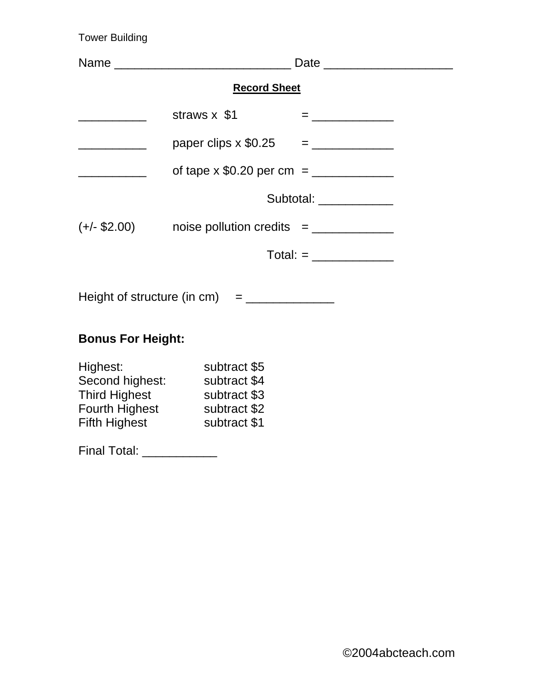Tower Building

|                                                       |                                                                                                                           | Date _________________________ |  |
|-------------------------------------------------------|---------------------------------------------------------------------------------------------------------------------------|--------------------------------|--|
| <b>Record Sheet</b>                                   |                                                                                                                           |                                |  |
|                                                       | straws x \$1                                                                                                              |                                |  |
|                                                       |                                                                                                                           |                                |  |
| <u> 1990 - Johann Barbara, martin a</u>               |                                                                                                                           |                                |  |
|                                                       | Subtotal: ___________                                                                                                     |                                |  |
|                                                       |                                                                                                                           |                                |  |
|                                                       |                                                                                                                           |                                |  |
|                                                       |                                                                                                                           |                                |  |
| <b>Bonus For Height:</b>                              |                                                                                                                           |                                |  |
| Highest:<br>Fifth Highest<br>Final Total: ___________ | subtract \$5<br>Second highest: subtract \$4<br>Third Highest subtract \$3<br>Fourth Highest subtract \$2<br>subtract \$1 |                                |  |